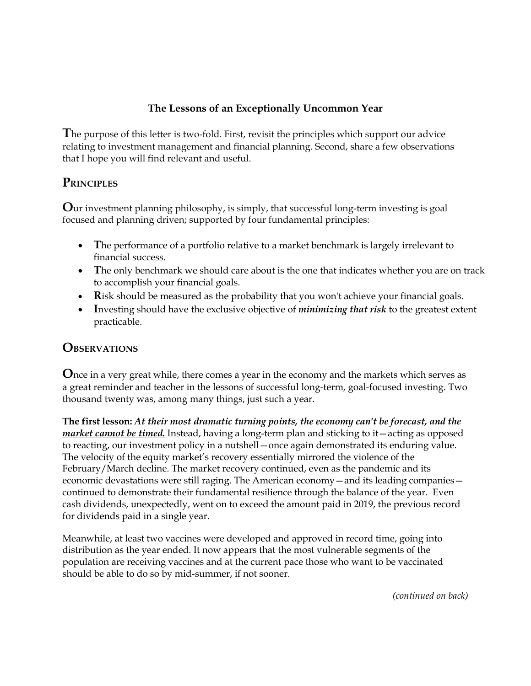## **The Lessons of an Exceptionally Uncommon Year**

**T**he purpose of this letter is two-fold. First, revisit the principles which support our advice relating to investment management and financial planning. Second, share a few observations that I hope you will find relevant and useful.

## **PRINCIPLES**

**O**ur investment planning philosophy, is simply, that successful long-term investing is goal focused and planning driven; supported by four fundamental principles:

- The performance of a portfolio relative to a market benchmark is largely irrelevant to financial success.
- The only benchmark we should care about is the one that indicates whether you are on track to accomplish your financial goals.
- **Risk should be measured as the probability that you won't achieve your financial goals.**
- **I**nvesting should have the exclusive objective of *minimizing that risk* to the greatest extent practicable.

## **OBSERVATIONS**

**O**nce in a very great while, there comes a year in the economy and the markets which serves as a great reminder and teacher in the lessons of successful long-term, goal-focused investing. Two thousand twenty was, among many things, just such a year.

**The first lesson:** *At their most dramatic turning points, the economy can't be forecast, and the market cannot be timed.* Instead, having a long-term plan and sticking to it—acting as opposed to reacting, our investment policy in a nutshell—once again demonstrated its enduring value. The velocity of the equity market's recovery essentially mirrored the violence of the February/March decline. The market recovery continued, even as the pandemic and its economic devastations were still raging. The American economy—and its leading companies continued to demonstrate their fundamental resilience through the balance of the year. Even cash dividends, unexpectedly, went on to exceed the amount paid in 2019, the previous record for dividends paid in a single year.

Meanwhile, at least two vaccines were developed and approved in record time, going into distribution as the year ended. It now appears that the most vulnerable segments of the population are receiving vaccines and at the current pace those who want to be vaccinated should be able to do so by mid-summer, if not sooner.

*(continued on back)*